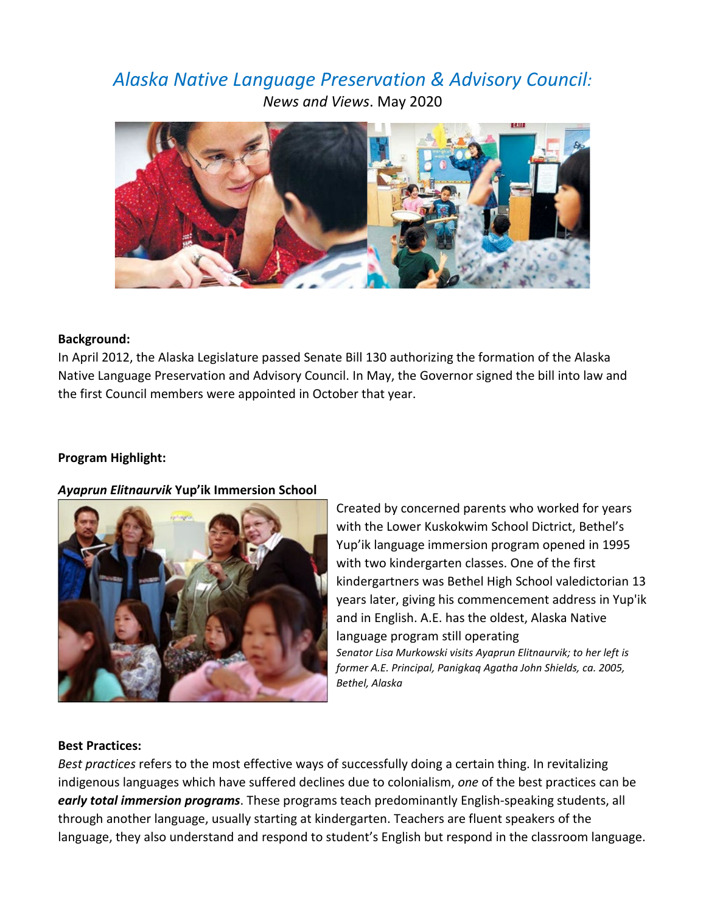# *Alaska Native Language Preservation & Advisory Council: News and Views*. May 2020



## **Background:**

In April 2012, the Alaska Legislature passed Senate Bill 130 authorizing the formation of the Alaska Native Language Preservation and Advisory Council. In May, the Governor signed the bill into law and the first Council members were appointed in October that year.

## **Program Highlight:**

### *Ayaprun Elitnaurvik* **Yup'ik Immersion School**



Created by concerned parents who worked for years with the Lower Kuskokwim School Dictrict, Bethel's Yup'ik language immersion program opened in 1995 with two kindergarten classes. One of the first kindergartners was Bethel High School valedictorian 13 years later, giving his commencement address in Yup'ik and in English. A.E. has the oldest, Alaska Native language program still operating *Senator Lisa Murkowski visits Ayaprun Elitnaurvik; to her left is* 

*former A.E. Principal, Panigkaq Agatha John Shields, ca. 2005, Bethel, Alaska* 

### **Best Practices:**

*Best practices* refers to the most effective ways of successfully doing a certain thing. In revitalizing indigenous languages which have suffered declines due to colonialism, *one* of the best practices can be *early total immersion programs*. These programs teach predominantly English-speaking students, all through another language, usually starting at kindergarten. Teachers are fluent speakers of the language, they also understand and respond to student's English but respond in the classroom language.